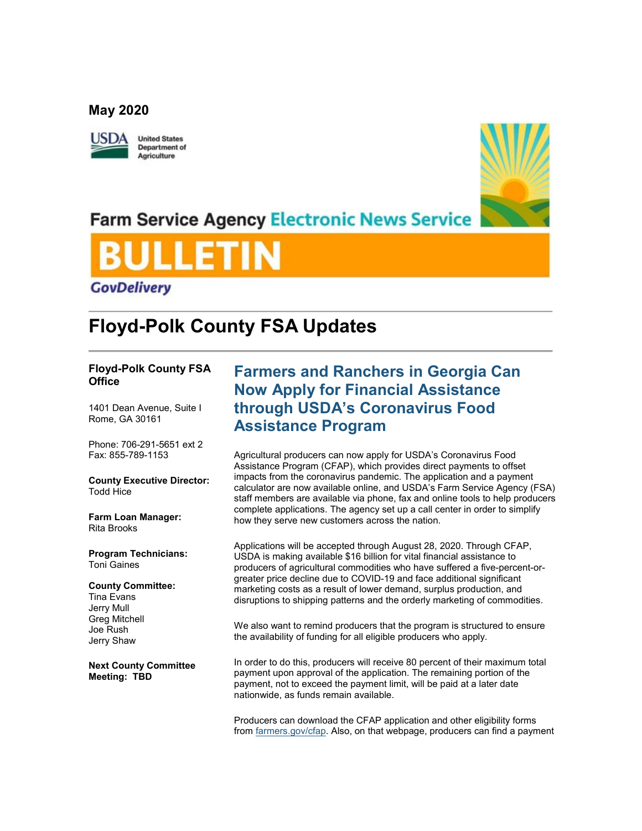### **May 2020**



**United States Department of** Agriculture



## **Farm Service Agency Electronic News Service**



# **Floyd-Polk County FSA Updates**

### **Floyd-Polk County FSA Office**

1401 Dean Avenue, Suite I Rome, GA 30161

Phone: 706-291-5651 ext 2 Fax: 855-789-1153

**County Executive Director:** Todd Hice

**Farm Loan Manager:** Rita Brooks

**Program Technicians:** Toni Gaines

**County Committee:** Tina Evans Jerry Mull Greg Mitchell Joe Rush Jerry Shaw

**Next County Committee Meeting: TBD**

### **Farmers and Ranchers in Georgia Can Now Apply for Financial Assistance through USDA's Coronavirus Food Assistance Program**

Agricultural producers can now apply for USDA's Coronavirus Food Assistance Program (CFAP), which provides direct payments to offset impacts from the coronavirus pandemic. The application and a payment calculator are now available online, and USDA's Farm Service Agency (FSA) staff members are available via phone, fax and online tools to help producers complete applications. The agency set up a call center in order to simplify how they serve new customers across the nation.

Applications will be accepted through August 28, 2020. Through CFAP, USDA is making available \$16 billion for vital financial assistance to producers of agricultural commodities who have suffered a five-percent-orgreater price decline due to COVID-19 and face additional significant marketing costs as a result of lower demand, surplus production, and disruptions to shipping patterns and the orderly marketing of commodities.

We also want to remind producers that the program is structured to ensure the availability of funding for all eligible producers who apply.

In order to do this, producers will receive 80 percent of their maximum total payment upon approval of the application. The remaining portion of the payment, not to exceed the payment limit, will be paid at a later date nationwide, as funds remain available.

Producers can download the CFAP application and other eligibility forms from [farmers.gov/cfap.](http://www.farmers.gov/cfap?utm_medium=email&utm_source=govdelivery) Also, on that webpage, producers can find a payment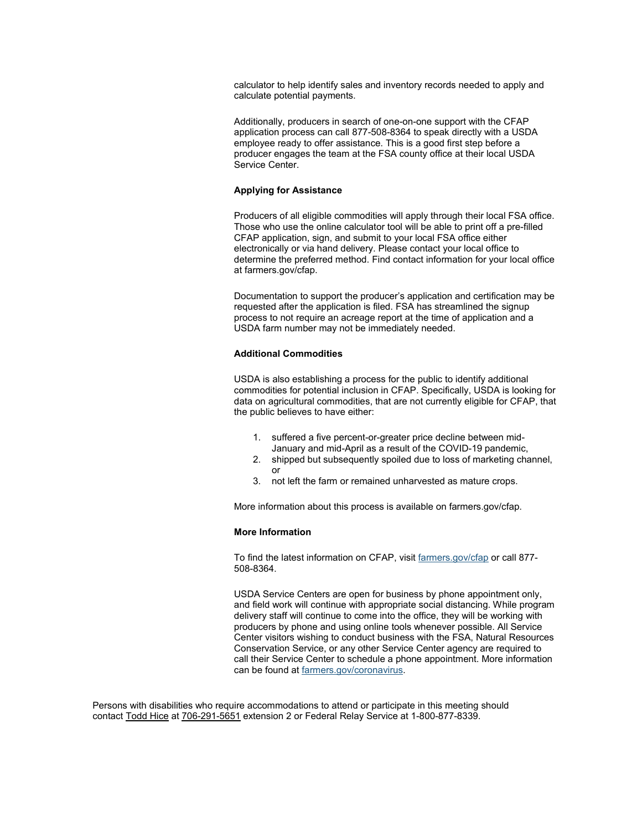calculator to help identify sales and inventory records needed to apply and calculate potential payments.

Additionally, producers in search of one-on-one support with the CFAP application process can call 877-508-8364 to speak directly with a USDA employee ready to offer assistance. This is a good first step before a producer engages the team at the FSA county office at their local USDA Service Center.

### **Applying for Assistance**

Producers of all eligible commodities will apply through their local FSA office. Those who use the online calculator tool will be able to print off a pre-filled CFAP application, sign, and submit to your local FSA office either electronically or via hand delivery. Please contact your local office to determine the preferred method. Find contact information for your local office at farmers.gov/cfap.

Documentation to support the producer's application and certification may be requested after the application is filed. FSA has streamlined the signup process to not require an acreage report at the time of application and a USDA farm number may not be immediately needed.

#### **Additional Commodities**

USDA is also establishing a process for the public to identify additional commodities for potential inclusion in CFAP. Specifically, USDA is looking for data on agricultural commodities, that are not currently eligible for CFAP, that the public believes to have either:

- 1. suffered a five percent-or-greater price decline between mid-January and mid-April as a result of the COVID-19 pandemic,
- 2. shipped but subsequently spoiled due to loss of marketing channel, or
- 3. not left the farm or remained unharvested as mature crops.

More information about this process is available on farmers.gov/cfap.

### **More Information**

To find the latest information on CFAP, visit [farmers.gov/cfap](http://www.farmers.gov/cfap?utm_medium=email&utm_source=govdelivery) or call 877- 508-8364.

USDA Service Centers are open for business by phone appointment only, and field work will continue with appropriate social distancing. While program delivery staff will continue to come into the office, they will be working with producers by phone and using online tools whenever possible. All Service Center visitors wishing to conduct business with the FSA, Natural Resources Conservation Service, or any other Service Center agency are required to call their Service Center to schedule a phone appointment. More information can be found at [farmers.gov/coronavirus.](http://www.farmers.gov/coronavirus?utm_medium=email&utm_source=govdelivery)

Persons with disabilities who require accommodations to attend or participate in this meeting should contact Todd Hice at 706-291-5651 extension 2 or Federal Relay Service at 1-800-877-8339.